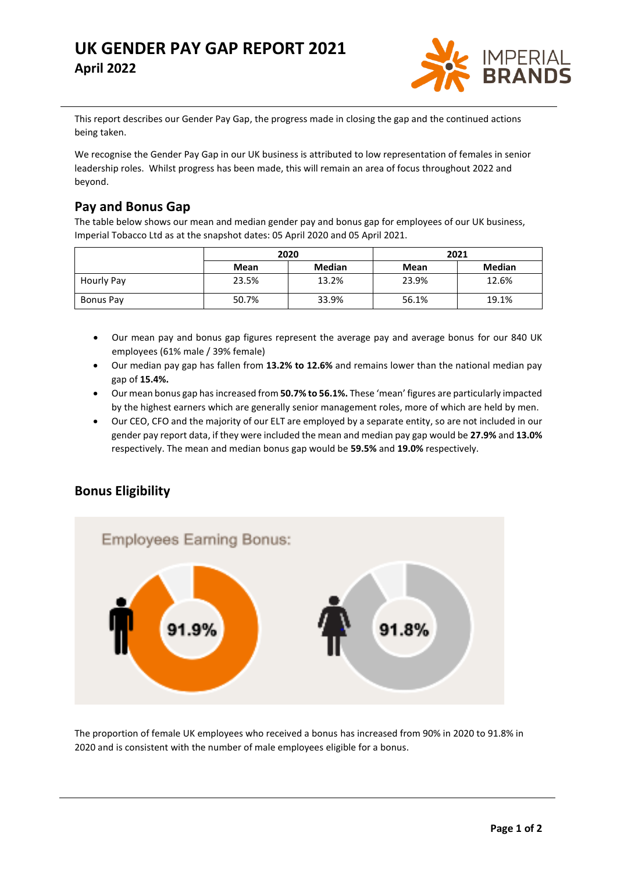# **UK GENDER PAY GAP REPORT 2021 April 2022**



This report describes our Gender Pay Gap, the progress made in closing the gap and the continued actions being taken.

We recognise the Gender Pay Gap in our UK business is attributed to low representation of females in senior leadership roles. Whilst progress has been made, this will remain an area of focus throughout 2022 and beyond.

### **Pay and Bonus Gap**

The table below shows our mean and median gender pay and bonus gap for employees of our UK business, Imperial Tobacco Ltd as at the snapshot dates: 05 April 2020 and 05 April 2021.

|            | 2020  |               | 2021  |               |
|------------|-------|---------------|-------|---------------|
|            | Mean  | <b>Median</b> | Mean  | <b>Median</b> |
| Hourly Pay | 23.5% | 13.2%         | 23.9% | 12.6%         |
| Bonus Pay  | 50.7% | 33.9%         | 56.1% | 19.1%         |

- Our mean pay and bonus gap figures represent the average pay and average bonus for our 840 UK employees (61% male / 39% female)
- Our median pay gap has fallen from **13.2% to 12.6%** and remains lower than the national median pay gap of **15.4%.**
- Our mean bonus gap has increased from **50.7% to 56.1%.** These 'mean' figures are particularly impacted by the highest earners which are generally senior management roles, more of which are held by men.
- Our CEO, CFO and the majority of our ELT are employed by a separate entity, so are not included in our gender pay report data, if they were included the mean and median pay gap would be **27.9%** and **13.0%** respectively. The mean and median bonus gap would be **59.5%** and **19.0%** respectively.

## **Bonus Eligibility**



The proportion of female UK employees who received a bonus has increased from 90% in 2020 to 91.8% in 2020 and is consistent with the number of male employees eligible for a bonus.